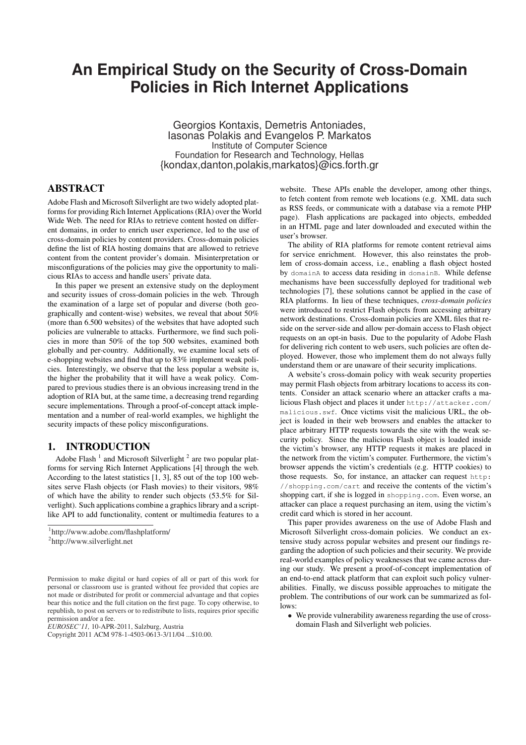# **An Empirical Study on the Security of Cross-Domain Policies in Rich Internet Applications**

Georgios Kontaxis, Demetris Antoniades, Iasonas Polakis and Evangelos P. Markatos Institute of Computer Science Foundation for Research and Technology, Hellas {kondax,danton,polakis,markatos}@ics.forth.gr

# ABSTRACT

Adobe Flash and Microsoft Silverlight are two widely adopted platforms for providing Rich Internet Applications (RIA) over the World Wide Web. The need for RIAs to retrieve content hosted on different domains, in order to enrich user experience, led to the use of cross-domain policies by content providers. Cross-domain policies define the list of RIA hosting domains that are allowed to retrieve content from the content provider's domain. Misinterpretation or misconfigurations of the policies may give the opportunity to malicious RIAs to access and handle users' private data.

In this paper we present an extensive study on the deployment and security issues of cross-domain policies in the web. Through the examination of a large set of popular and diverse (both geographically and content-wise) websites, we reveal that about 50% (more than 6.500 websites) of the websites that have adopted such policies are vulnerable to attacks. Furthermore, we find such policies in more than 50% of the top 500 websites, examined both globally and per-country. Additionally, we examine local sets of e-shopping websites and find that up to 83% implement weak policies. Interestingly, we observe that the less popular a website is, the higher the probability that it will have a weak policy. Compared to previous studies there is an obvious increasing trend in the adoption of RIA but, at the same time, a decreasing trend regarding secure implementations. Through a proof-of-concept attack implementation and a number of real-world examples, we highlight the security impacts of these policy misconfigurations.

## 1. INTRODUCTION

Adobe Flash<sup>1</sup> and Microsoft Silverlight<sup>2</sup> are two popular platforms for serving Rich Internet Applications [4] through the web. According to the latest statistics [1, 3], 85 out of the top 100 websites serve Flash objects (or Flash movies) to their visitors, 98% of which have the ability to render such objects (53.5% for Silverlight). Such applications combine a graphics library and a scriptlike API to add functionality, content or multimedia features to a

*EUROSEC'11,* 10-APR-2011, Salzburg, Austria

website. These APIs enable the developer, among other things, to fetch content from remote web locations (e.g. XML data such as RSS feeds, or communicate with a database via a remote PHP page). Flash applications are packaged into objects, embedded in an HTML page and later downloaded and executed within the user's browser.

The ability of RIA platforms for remote content retrieval aims for service enrichment. However, this also reinstates the problem of cross-domain access, i.e., enabling a flash object hosted by domainA to access data residing in domainB. While defense mechanisms have been successfully deployed for traditional web technologies [7], these solutions cannot be applied in the case of RIA platforms. In lieu of these techniques, *cross-domain policies* were introduced to restrict Flash objects from accessing arbitrary network destinations. Cross-domain policies are XML files that reside on the server-side and allow per-domain access to Flash object requests on an opt-in basis. Due to the popularity of Adobe Flash for delivering rich content to web users, such policies are often deployed. However, those who implement them do not always fully understand them or are unaware of their security implications.

A website's cross-domain policy with weak security properties may permit Flash objects from arbitrary locations to access its contents. Consider an attack scenario where an attacker crafts a malicious Flash object and places it under http://attacker.com/ malicious.swf. Once victims visit the malicious URL, the object is loaded in their web browsers and enables the attacker to place arbitrary HTTP requests towards the site with the weak security policy. Since the malicious Flash object is loaded inside the victim's browser, any HTTP requests it makes are placed in the network from the victim's computer. Furthermore, the victim's browser appends the victim's credentials (e.g. HTTP cookies) to those requests. So, for instance, an attacker can request http: //shopping.com/cart and receive the contents of the victim's shopping cart, if she is logged in shopping.com. Even worse, an attacker can place a request purchasing an item, using the victim's credit card which is stored in her account.

This paper provides awareness on the use of Adobe Flash and Microsoft Silverlight cross-domain policies. We conduct an extensive study across popular websites and present our findings regarding the adoption of such policies and their security. We provide real-world examples of policy weaknesses that we came across during our study. We present a proof-of-concept implementation of an end-to-end attack platform that can exploit such policy vulnerabilities. Finally, we discuss possible approaches to mitigate the problem. The contributions of our work can be summarized as follows:

• We provide vulnerability awareness regarding the use of crossdomain Flash and Silverlight web policies.

<sup>1</sup> http://www.adobe.com/flashplatform/

<sup>2</sup> http://www.silverlight.net

Permission to make digital or hard copies of all or part of this work for personal or classroom use is granted without fee provided that copies are not made or distributed for profit or commercial advantage and that copies bear this notice and the full citation on the first page. To copy otherwise, to republish, to post on servers or to redistribute to lists, requires prior specific permission and/or a fee.

Copyright 2011 ACM 978-1-4503-0613-3/11/04 ...\$10.00.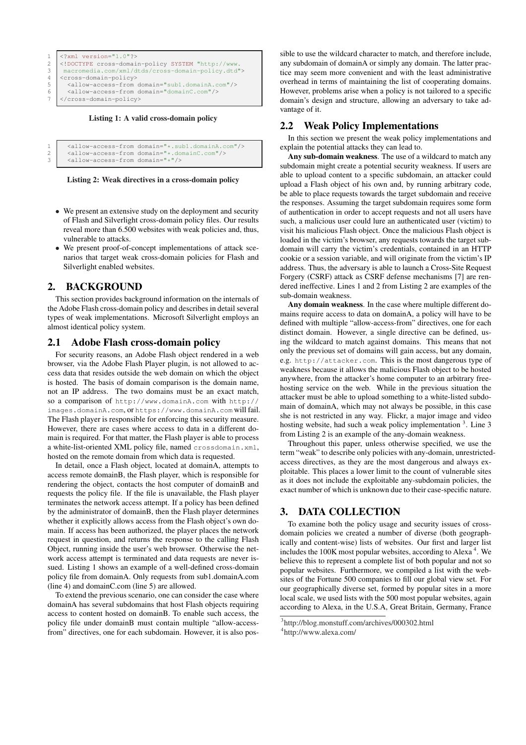```
1 <? xml version="1.0"?>
2 <!DOCTYPE cross-domain-policy SYSTEM "http://www.
3 macromedia.com/xml/dtds/cross-domain-policy.dtd">
4 <cross-domain-policy><br>5 <allow-access-from
5 <allow-access-from domain="sub1.domainA.com"/><br>6 <allow-access-from domain="domainC.com"/>
      6 <allow-access-from domain="domainC.com"/>
    7 </cross-domain-policy>
```
Listing 1: A valid cross-domain policy

|  | 1 <allow-access-from domain="*.sub1.domainA.com"></allow-access-from> |
|--|-----------------------------------------------------------------------|
|  | 2   <allow-access-from domain="*.domainC.com"></allow-access-from>    |

3 <allow-access-from domain="\*"/>



- We present an extensive study on the deployment and security of Flash and Silverlight cross-domain policy files. Our results reveal more than 6.500 websites with weak policies and, thus, vulnerable to attacks.
- We present proof-of-concept implementations of attack scenarios that target weak cross-domain policies for Flash and Silverlight enabled websites.

# 2. BACKGROUND

This section provides background information on the internals of the Adobe Flash cross-domain policy and describes in detail several types of weak implementations. Microsoft Silverlight employs an almost identical policy system.

## 2.1 Adobe Flash cross-domain policy

For security reasons, an Adobe Flash object rendered in a web browser, via the Adobe Flash Player plugin, is not allowed to access data that resides outside the web domain on which the object is hosted. The basis of domain comparison is the domain name, not an IP address. The two domains must be an exact match, so a comparison of http://www.domainA.com with http:// images.domainA.com, or https://www.domainA.com will fail. The Flash player is responsible for enforcing this security measure. However, there are cases where access to data in a different domain is required. For that matter, the Flash player is able to process a white-list-oriented XML policy file, named crossdomain.xml, hosted on the remote domain from which data is requested.

In detail, once a Flash object, located at domainA, attempts to access remote domainB, the Flash player, which is responsible for rendering the object, contacts the host computer of domainB and requests the policy file. If the file is unavailable, the Flash player terminates the network access attempt. If a policy has been defined by the administrator of domainB, then the Flash player determines whether it explicitly allows access from the Flash object's own domain. If access has been authorized, the player places the network request in question, and returns the response to the calling Flash Object, running inside the user's web browser. Otherwise the network access attempt is terminated and data requests are never issued. Listing 1 shows an example of a well-defined cross-domain policy file from domainA. Only requests from sub1.domainA.com (line 4) and domainC.com (line 5) are allowed.

To extend the previous scenario, one can consider the case where domainA has several subdomains that host Flash objects requiring access to content hosted on domainB. To enable such access, the policy file under domainB must contain multiple "allow-accessfrom" directives, one for each subdomain. However, it is also pos-

sible to use the wildcard character to match, and therefore include, any subdomain of domainA or simply any domain. The latter practice may seem more convenient and with the least administrative overhead in terms of maintaining the list of cooperating domains. However, problems arise when a policy is not tailored to a specific domain's design and structure, allowing an adversary to take advantage of it.

# 2.2 Weak Policy Implementations

In this section we present the weak policy implementations and explain the potential attacks they can lead to.

Any sub-domain weakness. The use of a wildcard to match any subdomain might create a potential security weakness. If users are able to upload content to a specific subdomain, an attacker could upload a Flash object of his own and, by running arbitrary code, be able to place requests towards the target subdomain and receive the responses. Assuming the target subdomain requires some form of authentication in order to accept requests and not all users have such, a malicious user could lure an authenticated user (victim) to visit his malicious Flash object. Once the malicious Flash object is loaded in the victim's browser, any requests towards the target subdomain will carry the victim's credentials, contained in an HTTP cookie or a session variable, and will originate from the victim's IP address. Thus, the adversary is able to launch a Cross-Site Request Forgery (CSRF) attack as CSRF defense mechanisms [7] are rendered ineffective. Lines 1 and 2 from Listing 2 are examples of the sub-domain weakness.

Any domain weakness. In the case where multiple different domains require access to data on domainA, a policy will have to be defined with multiple "allow-access-from" directives, one for each distinct domain. However, a single directive can be defined, using the wildcard to match against domains. This means that not only the previous set of domains will gain access, but any domain, e.g. http://attacker.com. This is the most dangerous type of weakness because it allows the malicious Flash object to be hosted anywhere, from the attacker's home computer to an arbitrary freehosting service on the web. While in the previous situation the attacker must be able to upload something to a white-listed subdomain of domainA, which may not always be possible, in this case she is not restricted in any way. Flickr, a major image and video hosting website, had such a weak policy implementation <sup>3</sup>. Line 3 from Listing 2 is an example of the any-domain weakness.

Throughout this paper, unless otherwise specified, we use the term "weak" to describe only policies with any-domain, unrestrictedaccess directives, as they are the most dangerous and always exploitable. This places a lower limit to the count of vulnerable sites as it does not include the exploitable any-subdomain policies, the exact number of which is unknown due to their case-specific nature.

# 3. DATA COLLECTION

To examine both the policy usage and security issues of crossdomain policies we created a number of diverse (both geographically and content-wise) lists of websites. Our first and larger list includes the 100K most popular websites, according to Alexa<sup>4</sup>. We believe this to represent a complete list of both popular and not so popular websites. Furthermore, we compiled a list with the websites of the Fortune 500 companies to fill our global view set. For our geographically diverse set, formed by popular sites in a more local scale, we used lists with the 500 most popular websites, again according to Alexa, in the U.S.A, Great Britain, Germany, France

<sup>3</sup> http://blog.monstuff.com/archives/000302.html

<sup>4</sup> http://www.alexa.com/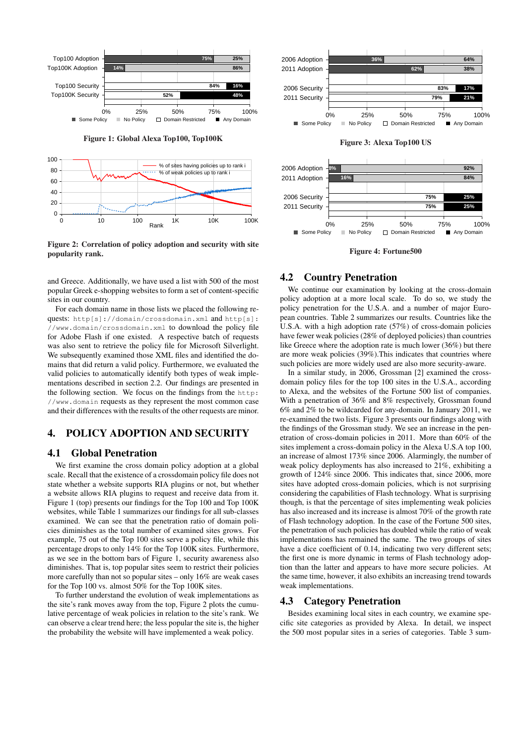

Figure 2: Correlation of policy adoption and security with site popularity rank.

and Greece. Additionally, we have used a list with 500 of the most popular Greek e-shopping websites to form a set of content-specific sites in our country.

For each domain name in those lists we placed the following requests: http[s]://domain/crossdomain.xml and http[s]: //www.domain/crossdomain.xml to download the policy file for Adobe Flash if one existed. A respective batch of requests was also sent to retrieve the policy file for Microsoft Silverlight. We subsequently examined those XML files and identified the domains that did return a valid policy. Furthermore, we evaluated the valid policies to automatically identify both types of weak implementations described in section 2.2. Our findings are presented in the following section. We focus on the findings from the http: //www.domain requests as they represent the most common case and their differences with the results of the other requests are minor.

# 4. POLICY ADOPTION AND SECURITY

#### 4.1 Global Penetration

We first examine the cross domain policy adoption at a global scale. Recall that the existence of a crossdomain policy file does not state whether a website supports RIA plugins or not, but whether a website allows RIA plugins to request and receive data from it. Figure 1 (top) presents our findings for the Top 100 and Top 100K websites, while Table 1 summarizes our findings for all sub-classes examined. We can see that the penetration ratio of domain policies diminishes as the total number of examined sites grows. For example, 75 out of the Top 100 sites serve a policy file, while this percentage drops to only 14% for the Top 100K sites. Furthermore, as we see in the bottom bars of Figure 1, security awareness also diminishes. That is, top popular sites seem to restrict their policies more carefully than not so popular sites – only 16% are weak cases for the Top 100 vs. almost 50% for the Top 100K sites.

To further understand the evolution of weak implementations as the site's rank moves away from the top, Figure 2 plots the cumulative percentage of weak policies in relation to the site's rank. We can observe a clear trend here; the less popular the site is, the higher the probability the website will have implemented a weak policy.



Figure 3: Alexa Top100 US



Figure 4: Fortune500

#### 4.2 Country Penetration

We continue our examination by looking at the cross-domain policy adoption at a more local scale. To do so, we study the policy penetration for the U.S.A. and a number of major European countries. Table 2 summarizes our results. Countries like the U.S.A. with a high adoption rate (57%) of cross-domain policies have fewer weak policies (28% of deployed policies) than countries like Greece where the adoption rate is much lower (36%) but there are more weak policies (39%).This indicates that countries where such policies are more widely used are also more security-aware.

In a similar study, in 2006, Grossman [2] examined the crossdomain policy files for the top 100 sites in the U.S.A., according to Alexa, and the websites of the Fortune 500 list of companies. With a penetration of 36% and 8% respectively, Grossman found 6% and 2% to be wildcarded for any-domain. In January 2011, we re-examined the two lists. Figure 3 presents our findings along with the findings of the Grossman study. We see an increase in the penetration of cross-domain policies in 2011. More than 60% of the sites implement a cross-domain policy in the Alexa U.S.A top 100, an increase of almost 173% since 2006. Alarmingly, the number of weak policy deployments has also increased to 21%, exhibiting a growth of 124% since 2006. This indicates that, since 2006, more sites have adopted cross-domain policies, which is not surprising considering the capabilities of Flash technology. What is surprising though, is that the percentage of sites implementing weak policies has also increased and its increase is almost 70% of the growth rate of Flash technology adoption. In the case of the Fortune 500 sites, the penetration of such policies has doubled while the ratio of weak implementations has remained the same. The two groups of sites have a dice coefficient of 0.14, indicating two very different sets; the first one is more dynamic in terms of Flash technology adoption than the latter and appears to have more secure policies. At the same time, however, it also exhibits an increasing trend towards weak implementations.

## 4.3 Category Penetration

Besides examining local sites in each country, we examine specific site categories as provided by Alexa. In detail, we inspect the 500 most popular sites in a series of categories. Table 3 sum-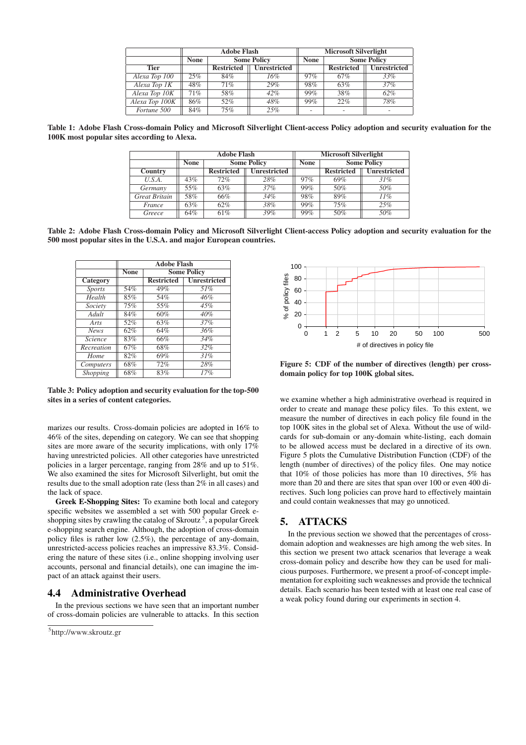|                |             | <b>Adobe Flash</b> |                     |             | <b>Microsoft Silverlight</b> |                     |  |
|----------------|-------------|--------------------|---------------------|-------------|------------------------------|---------------------|--|
|                | <b>None</b> | <b>Some Policy</b> |                     | <b>None</b> | <b>Some Policy</b>           |                     |  |
| <b>Tier</b>    |             | <b>Restricted</b>  | <b>Unrestricted</b> |             | <b>Restricted</b>            | <b>Unrestricted</b> |  |
| Alexa Top 100  | 25%         | 84%                | 16%                 | 97%         | 67%                          | 33%                 |  |
| Alexa Top 1K   | 48%         | 71%                | 29%                 | 98%         | 63%                          | 37%                 |  |
| Alexa Top 10K  | 71%         | 58%                | 42%                 | 99%         | 38%                          | 62%                 |  |
| Alexa Top 100K | 86%         | 52%                | 48%                 | 99%         | 22%                          | 78%                 |  |
| Fortune 500    | 84%         | 75%                | 25%                 |             |                              |                     |  |

Table 1: Adobe Flash Cross-domain Policy and Microsoft Silverlight Client-access Policy adoption and security evaluation for the 100K most popular sites according to Alexa.

|                      | <b>Adobe Flash</b> |                   |                     | <b>Microsoft Silverlight</b> |                    |                     |
|----------------------|--------------------|-------------------|---------------------|------------------------------|--------------------|---------------------|
|                      | <b>None</b>        |                   | <b>Some Policy</b>  | <b>None</b>                  | <b>Some Policy</b> |                     |
| Country              |                    | <b>Restricted</b> | <b>Unrestricted</b> |                              | <b>Restricted</b>  | <b>Unrestricted</b> |
| U.S.A.               | 43%                | 72%               | 28%                 | 97%                          | 69%                | 31%                 |
| Germany              | 55%                | 63%               | 37%                 | 99%                          | 50%                | 50%                 |
| <b>Great Britain</b> | 58%                | 66%               | 34%                 | 98%                          | 89%                | 11%                 |
| France               | 63%                | 62%               | 38%                 | 99%                          | 75%                | 25%                 |
| Greece               | 64%                | 61%               | 39%                 | 99%                          | 50%                | 50%                 |

Table 2: Adobe Flash Cross-domain Policy and Microsoft Silverlight Client-access Policy adoption and security evaluation for the 500 most popular sites in the U.S.A. and major European countries.

|                 | <b>Adobe Flash</b> |                    |                     |  |
|-----------------|--------------------|--------------------|---------------------|--|
|                 | <b>None</b>        | <b>Some Policy</b> |                     |  |
| Category        |                    | <b>Restricted</b>  | <b>Unrestricted</b> |  |
| <b>Sports</b>   | 54%                | 49%                | 51%                 |  |
| Health          | 85%                | 54%                | 46%                 |  |
| Society         | 75%                | 55%                | 45%                 |  |
| Adult           | 84%                | 60%                | 40%                 |  |
| Arts            | 52%                | 63%                | 37%                 |  |
| <b>News</b>     | 62%                | 64%                | 36%                 |  |
| <i>Science</i>  | 83%                | 66%                | 34%                 |  |
| Recreation      | 67%                | 68%                | 32%                 |  |
| Home            | 82%                | 69%                | 31%                 |  |
| Computers       | 68%                | 72%                | 28%                 |  |
| <b>Shopping</b> | 68%                | 83%                | 17%                 |  |

Table 3: Policy adoption and security evaluation for the top-500 sites in a series of content categories.

marizes our results. Cross-domain policies are adopted in 16% to 46% of the sites, depending on category. We can see that shopping sites are more aware of the security implications, with only 17% having unrestricted policies. All other categories have unrestricted policies in a larger percentage, ranging from 28% and up to 51%. We also examined the sites for Microsoft Silverlight, but omit the results due to the small adoption rate (less than 2% in all cases) and the lack of space.

Greek E-Shopping Sites: To examine both local and category specific websites we assembled a set with 500 popular Greek eshopping sites by crawling the catalog of Skroutz  $\frac{5}{9}$ , a popular Greek e-shopping search engine. Although, the adoption of cross-domain policy files is rather low (2.5%), the percentage of any-domain, unrestricted-access policies reaches an impressive 83.3%. Considering the nature of these sites (i.e., online shopping involving user accounts, personal and financial details), one can imagine the impact of an attack against their users.

## 4.4 Administrative Overhead

In the previous sections we have seen that an important number of cross-domain policies are vulnerable to attacks. In this section



Figure 5: CDF of the number of directives (length) per crossdomain policy for top 100K global sites.

we examine whether a high administrative overhead is required in order to create and manage these policy files. To this extent, we measure the number of directives in each policy file found in the top 100K sites in the global set of Alexa. Without the use of wildcards for sub-domain or any-domain white-listing, each domain to be allowed access must be declared in a directive of its own. Figure 5 plots the Cumulative Distribution Function (CDF) of the length (number of directives) of the policy files. One may notice that 10% of those policies has more than 10 directives, 5% has more than 20 and there are sites that span over 100 or even 400 directives. Such long policies can prove hard to effectively maintain and could contain weaknesses that may go unnoticed.

## 5. ATTACKS

In the previous section we showed that the percentages of crossdomain adoption and weaknesses are high among the web sites. In this section we present two attack scenarios that leverage a weak cross-domain policy and describe how they can be used for malicious purposes. Furthermore, we present a proof-of-concept implementation for exploiting such weaknesses and provide the technical details. Each scenario has been tested with at least one real case of a weak policy found during our experiments in section 4.

<sup>5</sup> http://www.skroutz.gr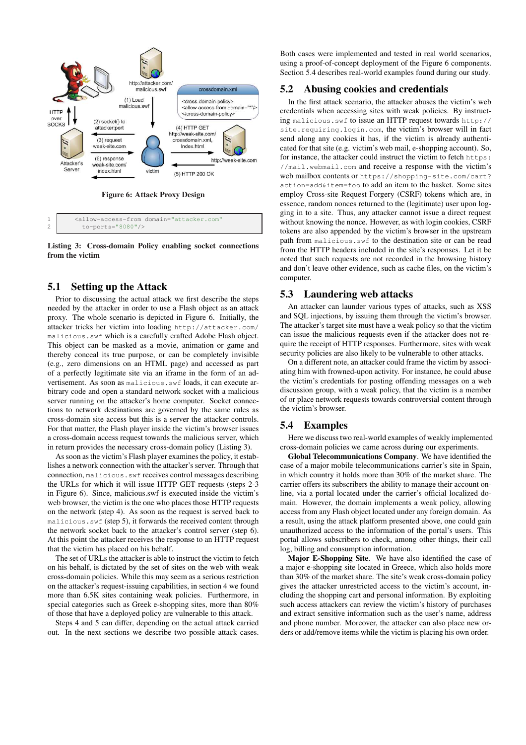

Listing 3: Cross-domain Policy enabling socket connections from the victim

# 5.1 Setting up the Attack

Prior to discussing the actual attack we first describe the steps needed by the attacker in order to use a Flash object as an attack proxy. The whole scenario is depicted in Figure 6. Initially, the attacker tricks her victim into loading http://attacker.com/ malicious.swf which is a carefully crafted Adobe Flash object. This object can be masked as a movie, animation or game and thereby conceal its true purpose, or can be completely invisible (e.g., zero dimensions on an HTML page) and accessed as part of a perfectly legitimate site via an iframe in the form of an advertisement. As soon as malicious.swf loads, it can execute arbitrary code and open a standard network socket with a malicious server running on the attacker's home computer. Socket connections to network destinations are governed by the same rules as cross-domain site access but this is a server the attacker controls. For that matter, the Flash player inside the victim's browser issues a cross-domain access request towards the malicious server, which in return provides the necessary cross-domain policy (Listing 3).

As soon as the victim's Flash player examines the policy, it establishes a network connection with the attacker's server. Through that connection, malicious.swf receives control messages describing the URLs for which it will issue HTTP GET requests (steps 2-3 in Figure 6). Since, malicious.swf is executed inside the victim's web browser, the victim is the one who places those HTTP requests on the network (step 4). As soon as the request is served back to malicious.swf (step 5), it forwards the received content through the network socket back to the attacker's control server (step 6). At this point the attacker receives the response to an HTTP request that the victim has placed on his behalf.

The set of URLs the attacker is able to instruct the victim to fetch on his behalf, is dictated by the set of sites on the web with weak cross-domain policies. While this may seem as a serious restriction on the attacker's request-issuing capabilities, in section 4 we found more than 6.5K sites containing weak policies. Furthermore, in special categories such as Greek e-shopping sites, more than 80% of those that have a deployed policy are vulnerable to this attack.

Steps 4 and 5 can differ, depending on the actual attack carried out. In the next sections we describe two possible attack cases.

Both cases were implemented and tested in real world scenarios, using a proof-of-concept deployment of the Figure 6 components. Section 5.4 describes real-world examples found during our study.

#### 5.2 Abusing cookies and credentials

In the first attack scenario, the attacker abuses the victim's web credentials when accessing sites with weak policies. By instructing malicious.swf to issue an HTTP request towards http:// site.requiring.login.com, the victim's browser will in fact send along any cookies it has, if the victim is already authenticated for that site (e.g. victim's web mail, e-shopping account). So, for instance, the attacker could instruct the victim to fetch https: //mail.webmail.com and receive a response with the victim's web mailbox contents or https://shopping-site.com/cart? action=add&item=foo to add an item to the basket. Some sites employ Cross-site Request Forgery (CSRF) tokens which are, in essence, random nonces returned to the (legitimate) user upon logging in to a site. Thus, any attacker cannot issue a direct request without knowing the nonce. However, as with login cookies, CSRF tokens are also appended by the victim's browser in the upstream path from malicious.swf to the destination site or can be read from the HTTP headers included in the site's responses. Let it be noted that such requests are not recorded in the browsing history and don't leave other evidence, such as cache files, on the victim's computer.

## 5.3 Laundering web attacks

An attacker can launder various types of attacks, such as XSS and SQL injections, by issuing them through the victim's browser. The attacker's target site must have a weak policy so that the victim can issue the malicious requests even if the attacker does not require the receipt of HTTP responses. Furthermore, sites with weak security policies are also likely to be vulnerable to other attacks.

On a different note, an attacker could frame the victim by associating him with frowned-upon activity. For instance, he could abuse the victim's credentials for posting offending messages on a web discussion group, with a weak policy, that the victim is a member of or place network requests towards controversial content through the victim's browser.

#### 5.4 Examples

Here we discuss two real-world examples of weakly implemented cross-domain policies we came across during our experiments.

Global Telecommunications Company. We have identified the case of a major mobile telecommunications carrier's site in Spain, in which country it holds more than 30% of the market share. The carrier offers its subscribers the ability to manage their account online, via a portal located under the carrier's official localized domain. However, the domain implements a weak policy, allowing access from any Flash object located under any foreign domain. As a result, using the attack platform presented above, one could gain unauthorized access to the information of the portal's users. This portal allows subscribers to check, among other things, their call log, billing and consumption information.

Major E-Shopping Site. We have also identified the case of a major e-shopping site located in Greece, which also holds more than 30% of the market share. The site's weak cross-domain policy gives the attacker unrestricted access to the victim's account, including the shopping cart and personal information. By exploiting such access attackers can review the victim's history of purchases and extract sensitive information such as the user's name, address and phone number. Moreover, the attacker can also place new orders or add/remove items while the victim is placing his own order.